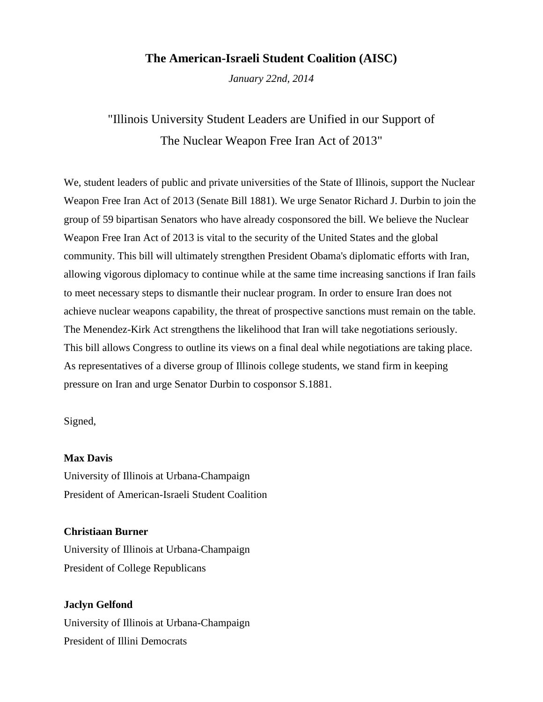## **The American-Israeli Student Coalition (AISC)**

*January 22nd, 2014*

# "Illinois University Student Leaders are Unified in our Support of The Nuclear Weapon Free Iran Act of 2013"

We, student leaders of public and private universities of the State of Illinois, support the Nuclear Weapon Free Iran Act of 2013 (Senate Bill 1881). We urge Senator Richard J. Durbin to join the group of 59 bipartisan Senators who have already cosponsored the bill. We believe the Nuclear Weapon Free Iran Act of 2013 is vital to the security of the United States and the global community. This bill will ultimately strengthen President Obama's diplomatic efforts with Iran, allowing vigorous diplomacy to continue while at the same time increasing sanctions if Iran fails to meet necessary steps to dismantle their nuclear program. In order to ensure Iran does not achieve nuclear weapons capability, the threat of prospective sanctions must remain on the table. The Menendez-Kirk Act strengthens the likelihood that Iran will take negotiations seriously. This bill allows Congress to outline its views on a final deal while negotiations are taking place. As representatives of a diverse group of Illinois college students, we stand firm in keeping pressure on Iran and urge Senator Durbin to cosponsor S.1881.

Signed,

#### **Max Davis**

University of Illinois at Urbana-Champaign President of American-Israeli Student Coalition

### **Christiaan Burner**

University of Illinois at Urbana-Champaign President of College Republicans

**Jaclyn Gelfond** University of Illinois at Urbana-Champaign President of Illini Democrats